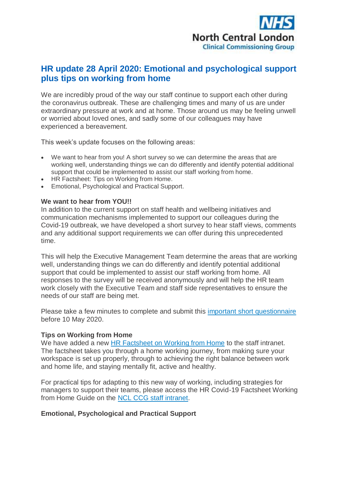

# **HR update 28 April 2020: Emotional and psychological support plus tips on working from home**

We are incredibly proud of the way our staff continue to support each other during the coronavirus outbreak. These are challenging times and many of us are under extraordinary pressure at work and at home. Those around us may be feeling unwell or worried about loved ones, and sadly some of our colleagues may have experienced a bereavement.

This week's update focuses on the following areas:

- We want to hear from you! A short survey so we can determine the areas that are working well, understanding things we can do differently and identify potential additional support that could be implemented to assist our staff working from home.
- HR Factsheet: Tips on Working from Home.
- Emotional, Psychological and Practical Support.

#### **We want to hear from YOU!!**

In addition to the current support on staff health and wellbeing initiatives and communication mechanisms implemented to support our colleagues during the Covid-19 outbreak, we have developed a short survey to hear staff views, comments and any additional support requirements we can offer during this unprecedented time.

This will help the Executive Management Team determine the areas that are working well, understanding things we can do differently and identify potential additional support that could be implemented to assist our staff working from home. All responses to the survey will be received anonymously and will help the HR team work closely with the Executive Team and staff side representatives to ensure the needs of our staff are being met.

Please take a few minutes to complete and submit this [important short questionnaire](http://camdenccg.newsweaver.com/briefing/12z0uo4anc51gfncbqs1l9/external?email=true&a=6&p=5172310&t=356442) before 10 May 2020.

### **Tips on Working from Home**

We have added a new HR Factsheet on [Working from Home](http://camdenccg.newsweaver.com/briefing/1c3kcsm67s91gfncbqs1l9/external?email=true&a=6&p=5172310&t=356442) to the staff intranet. The factsheet takes you through a home working journey, from making sure your workspace is set up properly, through to achieving the right balance between work and home life, and staying mentally fit, active and healthy.

For practical tips for adapting to this new way of working, including strategies for managers to support their teams, please access the HR Covid-19 Factsheet Working from Home Guide on the [NCL CCG staff intranet.](http://camdenccg.newsweaver.com/briefing/10ogxowayel1gfncbqs1l9/external?email=true&a=6&p=5172310&t=356442)

### **Emotional, Psychological and Practical Support**